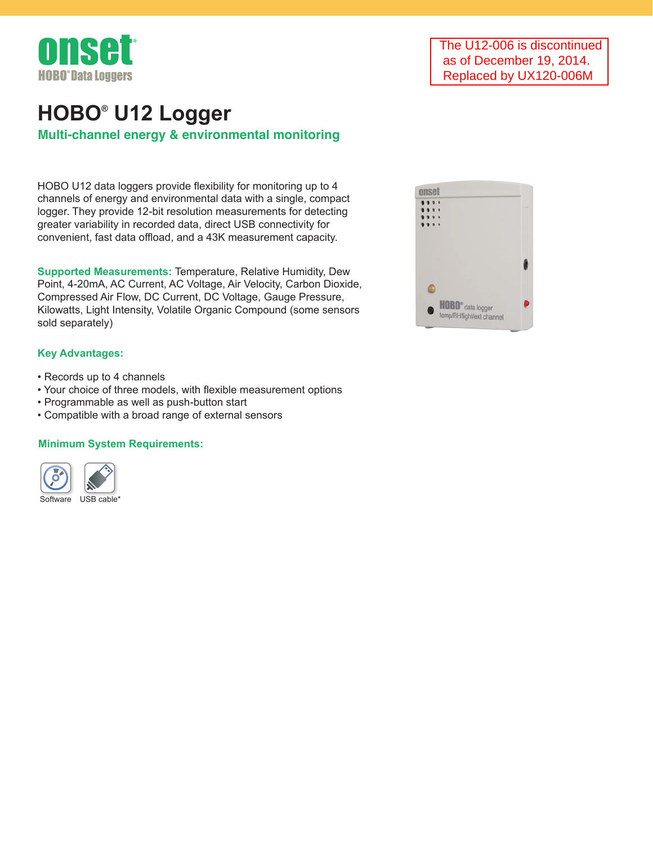

# **Multi-channel energy & environmental monitoring HOBO® U12 Logger**

HOBO U12 data loggers provide flexibility for monitoring up to 4 channels of energy and environmental data with a single, compact logger. They provide 12-bit resolution measurements for detecting greater variability in recorded data, direct USB connectivity for convenient, fast data offload, and a 43K measurement capacity.

**Supported Measurements:** Temperature, Relative Humidity, Dew Point, 4-20mA, AC Current, AC Voltage, Air Velocity, Carbon Dioxide, Compressed Air Flow, DC Current, DC Voltage, Gauge Pressure, Kilowatts, Light Intensity, Volatile Organic Compound (some sensors sold separately)

## **Key Advantages:**

- Records up to 4 channels
- Your choice of three models, with flexible measurement options
- Programmable as well as push-button start
- Compatible with a broad range of external sensors

# **Minimum System Requirements:**